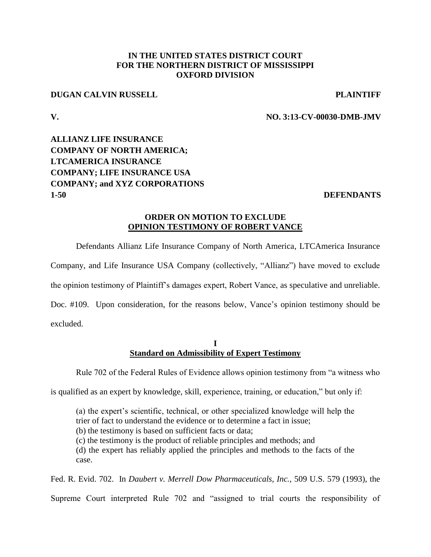## **IN THE UNITED STATES DISTRICT COURT FOR THE NORTHERN DISTRICT OF MISSISSIPPI OXFORD DIVISION**

### **DUGAN CALVIN RUSSELL PLAINTIFF**

## **V. NO. 3:13-CV-00030-DMB-JMV**

# **ALLIANZ LIFE INSURANCE COMPANY OF NORTH AMERICA; LTCAMERICA INSURANCE COMPANY; LIFE INSURANCE USA COMPANY; and XYZ CORPORATIONS 1-50 DEFENDANTS**

## **ORDER ON MOTION TO EXCLUDE OPINION TESTIMONY OF ROBERT VANCE**

Defendants Allianz Life Insurance Company of North America, LTCAmerica Insurance

Company, and Life Insurance USA Company (collectively, "Allianz") have moved to exclude

the opinion testimony of Plaintiff's damages expert, Robert Vance, as speculative and unreliable.

Doc. #109. Upon consideration, for the reasons below, Vance's opinion testimony should be excluded.

#### **I Standard on Admissibility of Expert Testimony**

Rule 702 of the Federal Rules of Evidence allows opinion testimony from "a witness who

is qualified as an expert by knowledge, skill, experience, training, or education," but only if:

(a) the expert's scientific, technical, or other specialized knowledge will help the trier of fact to understand the evidence or to determine a fact in issue; (b) the testimony is based on sufficient facts or data; (c) the testimony is the product of reliable principles and methods; and (d) the expert has reliably applied the principles and methods to the facts of the case.

Fed. R. Evid. 702. In *Daubert v. Merrell Dow Pharmaceuticals, Inc.*, 509 U.S. 579 (1993), the Supreme Court interpreted Rule 702 and "assigned to trial courts the responsibility of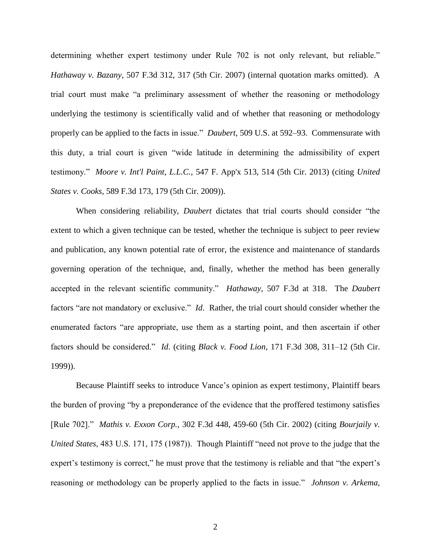determining whether expert testimony under Rule 702 is not only relevant, but reliable." *Hathaway v. Bazany*, 507 F.3d 312, 317 (5th Cir. 2007) (internal quotation marks omitted). A trial court must make "a preliminary assessment of whether the reasoning or methodology underlying the testimony is scientifically valid and of whether that reasoning or methodology properly can be applied to the facts in issue." *Daubert*, 509 U.S. at 592–93. Commensurate with this duty, a trial court is given "wide latitude in determining the admissibility of expert testimony." *Moore v. Int'l Paint, L.L.C.*, 547 F. App'x 513, 514 (5th Cir. 2013) (citing *United States v. Cooks*, 589 F.3d 173, 179 (5th Cir. 2009)).

When considering reliability, *Daubert* dictates that trial courts should consider "the extent to which a given technique can be tested, whether the technique is subject to peer review and publication, any known potential rate of error, the existence and maintenance of standards governing operation of the technique, and, finally, whether the method has been generally accepted in the relevant scientific community." *Hathaway*, 507 F.3d at 318. The *Daubert* factors "are not mandatory or exclusive." *Id*. Rather, the trial court should consider whether the enumerated factors "are appropriate, use them as a starting point, and then ascertain if other factors should be considered." *Id*. (citing *Black v. Food Lion*, 171 F.3d 308, 311–12 (5th Cir. 1999)).

Because Plaintiff seeks to introduce Vance's opinion as expert testimony, Plaintiff bears the burden of proving "by a preponderance of the evidence that the proffered testimony satisfies [Rule 702]." *Mathis v. Exxon Corp.*, 302 F.3d 448, 459-60 (5th Cir. 2002) (citing *Bourjaily v. United States*, 483 U.S. 171, 175 (1987)). Though Plaintiff "need not prove to the judge that the expert's testimony is correct," he must prove that the testimony is reliable and that "the expert's reasoning or methodology can be properly applied to the facts in issue." *Johnson v. Arkema,*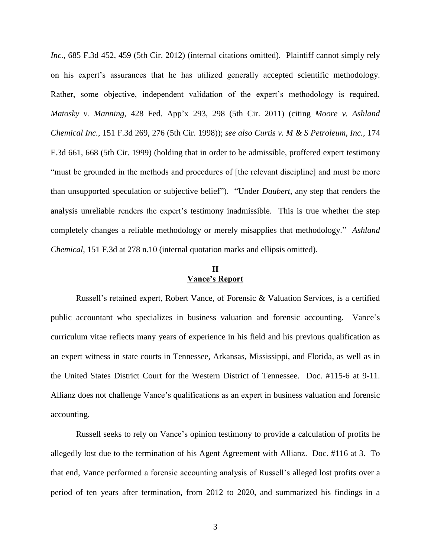*Inc.*, 685 F.3d 452, 459 (5th Cir. 2012) (internal citations omitted). Plaintiff cannot simply rely on his expert's assurances that he has utilized generally accepted scientific methodology. Rather, some objective, independent validation of the expert's methodology is required. *Matosky v. Manning*, 428 Fed. App'x 293, 298 (5th Cir. 2011) (citing *Moore v. Ashland Chemical Inc.*, 151 F.3d 269, 276 (5th Cir. 1998)); *see also Curtis v. M & S Petroleum, Inc.*, 174 F.3d 661, 668 (5th Cir. 1999) (holding that in order to be admissible, proffered expert testimony "must be grounded in the methods and procedures of [the relevant discipline] and must be more than unsupported speculation or subjective belief"). "Under *Daubert*, any step that renders the analysis unreliable renders the expert's testimony inadmissible. This is true whether the step completely changes a reliable methodology or merely misapplies that methodology." *Ashland Chemical*, 151 F.3d at 278 n.10 (internal quotation marks and ellipsis omitted).

### **II Vance's Report**

Russell's retained expert, Robert Vance, of Forensic & Valuation Services, is a certified public accountant who specializes in business valuation and forensic accounting. Vance's curriculum vitae reflects many years of experience in his field and his previous qualification as an expert witness in state courts in Tennessee, Arkansas, Mississippi, and Florida, as well as in the United States District Court for the Western District of Tennessee. Doc. #115-6 at 9-11. Allianz does not challenge Vance's qualifications as an expert in business valuation and forensic accounting.

Russell seeks to rely on Vance's opinion testimony to provide a calculation of profits he allegedly lost due to the termination of his Agent Agreement with Allianz. Doc. #116 at 3. To that end, Vance performed a forensic accounting analysis of Russell's alleged lost profits over a period of ten years after termination, from 2012 to 2020, and summarized his findings in a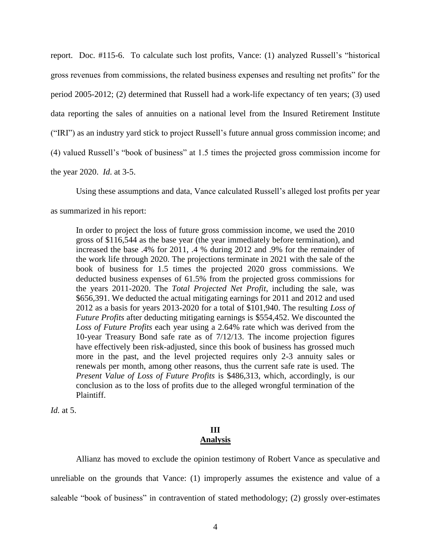report. Doc. #115-6. To calculate such lost profits, Vance: (1) analyzed Russell's "historical gross revenues from commissions, the related business expenses and resulting net profits" for the period 2005-2012; (2) determined that Russell had a work-life expectancy of ten years; (3) used data reporting the sales of annuities on a national level from the Insured Retirement Institute ("IRI") as an industry yard stick to project Russell's future annual gross commission income; and (4) valued Russell's "book of business" at 1.5 times the projected gross commission income for the year 2020. *Id*. at 3-5.

Using these assumptions and data, Vance calculated Russell's alleged lost profits per year

as summarized in his report:

In order to project the loss of future gross commission income, we used the 2010 gross of \$116,544 as the base year (the year immediately before termination), and increased the base .4% for 2011, .4 % during 2012 and .9% for the remainder of the work life through 2020. The projections terminate in 2021 with the sale of the book of business for 1.5 times the projected 2020 gross commissions. We deducted business expenses of 61.5% from the projected gross commissions for the years 2011-2020. The *Total Projected Net Profit*, including the sale, was \$656,391. We deducted the actual mitigating earnings for 2011 and 2012 and used 2012 as a basis for years 2013-2020 for a total of \$101,940. The resulting *Loss of Future Profits* after deducting mitigating earnings is \$554,452. We discounted the *Loss of Future Profits* each year using a 2.64% rate which was derived from the 10-year Treasury Bond safe rate as of 7/12/13. The income projection figures have effectively been risk-adjusted, since this book of business has grossed much more in the past, and the level projected requires only 2-3 annuity sales or renewals per month, among other reasons, thus the current safe rate is used. The *Present Value of Loss of Future Profits* is \$486,313, which, accordingly, is our conclusion as to the loss of profits due to the alleged wrongful termination of the Plaintiff.

*Id.* at 5.

## **III Analysis**

Allianz has moved to exclude the opinion testimony of Robert Vance as speculative and unreliable on the grounds that Vance: (1) improperly assumes the existence and value of a saleable "book of business" in contravention of stated methodology; (2) grossly over-estimates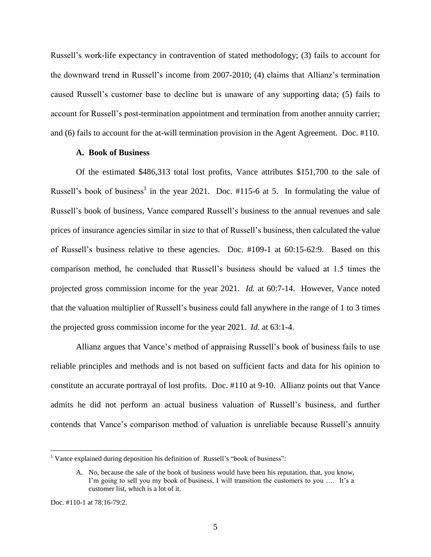Russell's work-life expectancy in contravention of stated methodology; (3) fails to account for the downward trend in Russell's income from 2007-2010; (4) claims that Allianz's termination caused Russell's customer base to decline but is unaware of any supporting data; (5) fails to account for Russell's post-termination appointment and termination from another annuity carrier; and (6) fails to account for the at-will termination provision in the Agent Agreement. Doc. #110.

#### **A. Book of Business**

Of the estimated \$486,313 total lost profits, Vance attributes \$151,700 to the sale of Russell's book of business<sup>1</sup> in the year 2021. Doc.  $\#115$ -6 at 5. In formulating the value of Russell's book of business, Vance compared Russell's business to the annual revenues and sale prices of insurance agencies similar in size to that of Russell's business, then calculated the value of Russell's business relative to these agencies. Doc. #109-1 at 60:15-62:9. Based on this comparison method, he concluded that Russell's business should be valued at 1.5 times the projected gross commission income for the year 2021. *Id.* at 60:7-14. However, Vance noted that the valuation multiplier of Russell's business could fall anywhere in the range of 1 to 3 times the projected gross commission income for the year 2021. *Id*. at 63:1-4.

Allianz argues that Vance's method of appraising Russell's book of business fails to use reliable principles and methods and is not based on sufficient facts and data for his opinion to constitute an accurate portrayal of lost profits. Doc. #110 at 9-10. Allianz points out that Vance admits he did not perform an actual business valuation of Russell's business, and further contends that Vance's comparison method of valuation is unreliable because Russell's annuity

<sup>&</sup>lt;sup>1</sup> Vance explained during deposition his definition of Russell's "book of business":

A. No, because the sale of the book of business would have been his reputation, that, you know, I'm going to sell you my book of business, I will transition the customers to you …. It's a customer list, which is a lot of it.

Doc. #110-1 at 78:16-79:2.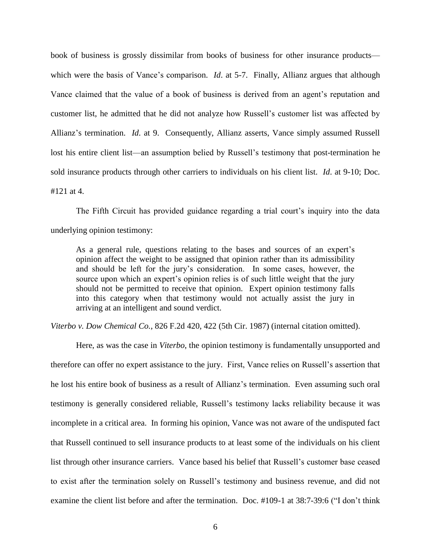book of business is grossly dissimilar from books of business for other insurance products which were the basis of Vance's comparison. *Id.* at 5-7. Finally, Allianz argues that although Vance claimed that the value of a book of business is derived from an agent's reputation and customer list, he admitted that he did not analyze how Russell's customer list was affected by Allianz's termination. *Id*. at 9. Consequently, Allianz asserts, Vance simply assumed Russell lost his entire client list—an assumption belied by Russell's testimony that post-termination he sold insurance products through other carriers to individuals on his client list. *Id*. at 9-10; Doc. #121 at 4.

The Fifth Circuit has provided guidance regarding a trial court's inquiry into the data underlying opinion testimony:

As a general rule, questions relating to the bases and sources of an expert's opinion affect the weight to be assigned that opinion rather than its admissibility and should be left for the jury's consideration. In some cases, however, the source upon which an expert's opinion relies is of such little weight that the jury should not be permitted to receive that opinion. Expert opinion testimony falls into this category when that testimony would not actually assist the jury in arriving at an intelligent and sound verdict.

*Viterbo v. Dow Chemical Co.*, 826 F.2d 420, 422 (5th Cir. 1987) (internal citation omitted).

Here, as was the case in *Viterbo*, the opinion testimony is fundamentally unsupported and therefore can offer no expert assistance to the jury. First, Vance relies on Russell's assertion that he lost his entire book of business as a result of Allianz's termination. Even assuming such oral testimony is generally considered reliable, Russell's testimony lacks reliability because it was incomplete in a critical area. In forming his opinion, Vance was not aware of the undisputed fact that Russell continued to sell insurance products to at least some of the individuals on his client list through other insurance carriers. Vance based his belief that Russell's customer base ceased to exist after the termination solely on Russell's testimony and business revenue, and did not examine the client list before and after the termination. Doc. #109-1 at 38:7-39:6 ("I don't think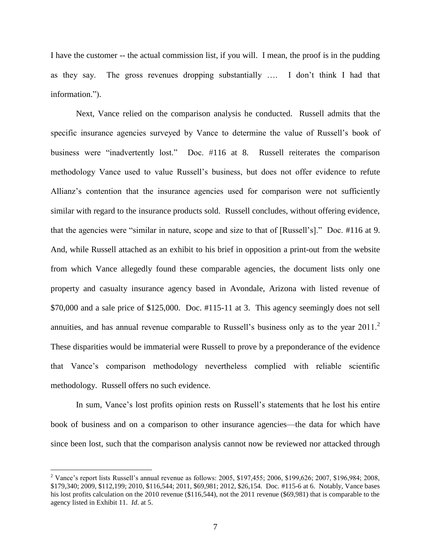I have the customer -- the actual commission list, if you will. I mean, the proof is in the pudding as they say. The gross revenues dropping substantially …. I don't think I had that information.").

Next, Vance relied on the comparison analysis he conducted. Russell admits that the specific insurance agencies surveyed by Vance to determine the value of Russell's book of business were "inadvertently lost." Doc. #116 at 8. Russell reiterates the comparison methodology Vance used to value Russell's business, but does not offer evidence to refute Allianz's contention that the insurance agencies used for comparison were not sufficiently similar with regard to the insurance products sold. Russell concludes, without offering evidence, that the agencies were "similar in nature, scope and size to that of [Russell's]." Doc. #116 at 9. And, while Russell attached as an exhibit to his brief in opposition a print-out from the website from which Vance allegedly found these comparable agencies, the document lists only one property and casualty insurance agency based in Avondale, Arizona with listed revenue of \$70,000 and a sale price of \$125,000. Doc. #115-11 at 3. This agency seemingly does not sell annuities, and has annual revenue comparable to Russell's business only as to the year  $2011$ .<sup>2</sup> These disparities would be immaterial were Russell to prove by a preponderance of the evidence that Vance's comparison methodology nevertheless complied with reliable scientific methodology. Russell offers no such evidence.

In sum, Vance's lost profits opinion rests on Russell's statements that he lost his entire book of business and on a comparison to other insurance agencies—the data for which have since been lost, such that the comparison analysis cannot now be reviewed nor attacked through

<sup>&</sup>lt;sup>2</sup> Vance's report lists Russell's annual revenue as follows: 2005, \$197,455; 2006, \$199,626; 2007, \$196,984; 2008, \$179,340; 2009, \$112,199; 2010, \$116,544; 2011, \$69,981; 2012, \$26,154. Doc. #115-6 at 6. Notably, Vance bases his lost profits calculation on the 2010 revenue (\$116,544), not the 2011 revenue (\$69,981) that is comparable to the agency listed in Exhibit 11. *Id*. at 5.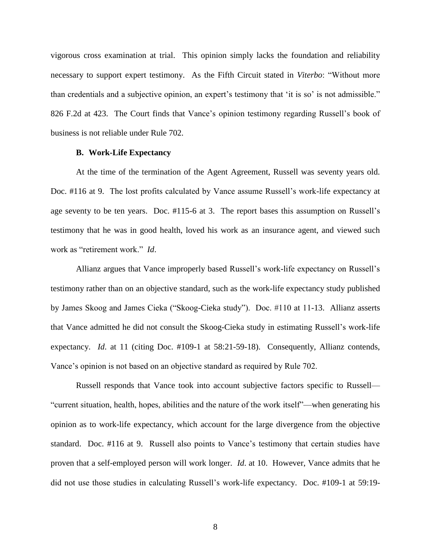vigorous cross examination at trial. This opinion simply lacks the foundation and reliability necessary to support expert testimony. As the Fifth Circuit stated in *Viterbo*: "Without more than credentials and a subjective opinion, an expert's testimony that 'it is so' is not admissible." 826 F.2d at 423. The Court finds that Vance's opinion testimony regarding Russell's book of business is not reliable under Rule 702.

#### **B. Work-Life Expectancy**

At the time of the termination of the Agent Agreement, Russell was seventy years old. Doc. #116 at 9. The lost profits calculated by Vance assume Russell's work-life expectancy at age seventy to be ten years. Doc. #115-6 at 3. The report bases this assumption on Russell's testimony that he was in good health, loved his work as an insurance agent, and viewed such work as "retirement work." *Id*.

Allianz argues that Vance improperly based Russell's work-life expectancy on Russell's testimony rather than on an objective standard, such as the work-life expectancy study published by James Skoog and James Cieka ("Skoog-Cieka study"). Doc. #110 at 11-13. Allianz asserts that Vance admitted he did not consult the Skoog-Cieka study in estimating Russell's work-life expectancy. *Id*. at 11 (citing Doc. #109-1 at 58:21-59-18). Consequently, Allianz contends, Vance's opinion is not based on an objective standard as required by Rule 702.

Russell responds that Vance took into account subjective factors specific to Russell— "current situation, health, hopes, abilities and the nature of the work itself"—when generating his opinion as to work-life expectancy, which account for the large divergence from the objective standard. Doc. #116 at 9. Russell also points to Vance's testimony that certain studies have proven that a self-employed person will work longer. *Id*. at 10. However, Vance admits that he did not use those studies in calculating Russell's work-life expectancy. Doc. #109-1 at 59:19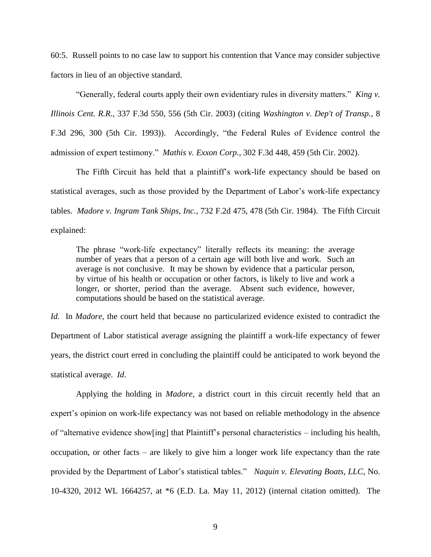60:5. Russell points to no case law to support his contention that Vance may consider subjective factors in lieu of an objective standard.

"Generally, federal courts apply their own evidentiary rules in diversity matters." *King v. Illinois Cent. R.R.*, 337 F.3d 550, 556 (5th Cir. 2003) (citing *Washington v. Dep't of Transp.*, 8 F.3d 296, 300 (5th Cir. 1993)). Accordingly, "the Federal Rules of Evidence control the admission of expert testimony." *Mathis v. Exxon Corp.*, 302 F.3d 448, 459 (5th Cir. 2002).

The Fifth Circuit has held that a plaintiff's work-life expectancy should be based on statistical averages, such as those provided by the Department of Labor's work-life expectancy tables. *Madore v. Ingram Tank Ships, Inc.*, 732 F.2d 475, 478 (5th Cir. 1984). The Fifth Circuit explained:

The phrase "work-life expectancy" literally reflects its meaning: the average number of years that a person of a certain age will both live and work. Such an average is not conclusive. It may be shown by evidence that a particular person, by virtue of his health or occupation or other factors, is likely to live and work a longer, or shorter, period than the average. Absent such evidence, however, computations should be based on the statistical average.

*Id.* In *Madore*, the court held that because no particularized evidence existed to contradict the Department of Labor statistical average assigning the plaintiff a work-life expectancy of fewer years, the district court erred in concluding the plaintiff could be anticipated to work beyond the statistical average. *Id*.

Applying the holding in *Madore*, a district court in this circuit recently held that an expert's opinion on work-life expectancy was not based on reliable methodology in the absence of "alternative evidence show[ing] that Plaintiff's personal characteristics – including his health, occupation, or other facts – are likely to give him a longer work life expectancy than the rate provided by the Department of Labor's statistical tables." *Naquin v. Elevating Boats, LLC*, No. 10-4320, 2012 WL 1664257, at \*6 (E.D. La. May 11, 2012) (internal citation omitted). The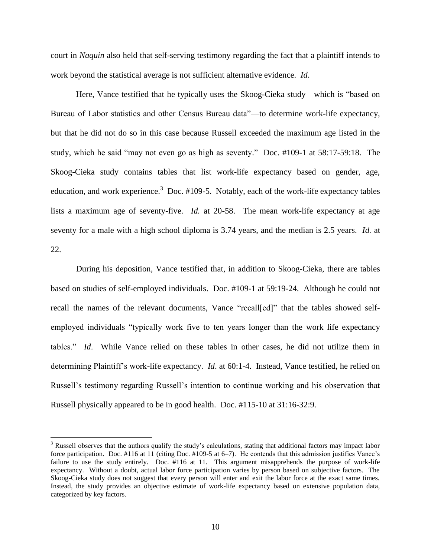court in *Naquin* also held that self-serving testimony regarding the fact that a plaintiff intends to work beyond the statistical average is not sufficient alternative evidence. *Id*.

Here, Vance testified that he typically uses the Skoog-Cieka study—which is "based on Bureau of Labor statistics and other Census Bureau data"—to determine work-life expectancy, but that he did not do so in this case because Russell exceeded the maximum age listed in the study, which he said "may not even go as high as seventy." Doc. #109-1 at 58:17-59:18. The Skoog-Cieka study contains tables that list work-life expectancy based on gender, age, education, and work experience.<sup>3</sup> Doc. #109-5. Notably, each of the work-life expectancy tables lists a maximum age of seventy-five. *Id.* at 20-58. The mean work-life expectancy at age seventy for a male with a high school diploma is 3.74 years, and the median is 2.5 years. *Id.* at 22.

During his deposition, Vance testified that, in addition to Skoog-Cieka, there are tables based on studies of self-employed individuals. Doc. #109-1 at 59:19-24. Although he could not recall the names of the relevant documents, Vance "recall[ed]" that the tables showed selfemployed individuals "typically work five to ten years longer than the work life expectancy tables." *Id*. While Vance relied on these tables in other cases, he did not utilize them in determining Plaintiff's work-life expectancy. *Id*. at 60:1-4. Instead, Vance testified, he relied on Russell's testimony regarding Russell's intention to continue working and his observation that Russell physically appeared to be in good health. Doc. #115-10 at 31:16-32:9.

<sup>&</sup>lt;sup>3</sup> Russell observes that the authors qualify the study's calculations, stating that additional factors may impact labor force participation. Doc. #116 at 11 (citing Doc. #109-5 at 6–7). He contends that this admission justifies Vance's failure to use the study entirely. Doc. #116 at 11. This argument misapprehends the purpose of work-life expectancy. Without a doubt, actual labor force participation varies by person based on subjective factors. The Skoog-Cieka study does not suggest that every person will enter and exit the labor force at the exact same times. Instead, the study provides an objective estimate of work-life expectancy based on extensive population data, categorized by key factors.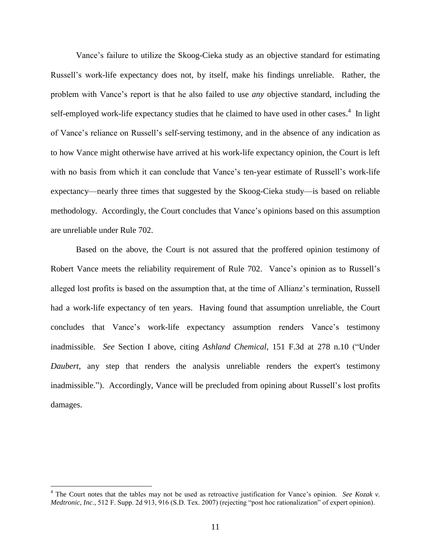Vance's failure to utilize the Skoog-Cieka study as an objective standard for estimating Russell's work-life expectancy does not, by itself, make his findings unreliable. Rather, the problem with Vance's report is that he also failed to use *any* objective standard, including the self-employed work-life expectancy studies that he claimed to have used in other cases.<sup>4</sup> In light of Vance's reliance on Russell's self-serving testimony, and in the absence of any indication as to how Vance might otherwise have arrived at his work-life expectancy opinion, the Court is left with no basis from which it can conclude that Vance's ten-year estimate of Russell's work-life expectancy—nearly three times that suggested by the Skoog-Cieka study—is based on reliable methodology. Accordingly, the Court concludes that Vance's opinions based on this assumption are unreliable under Rule 702.

Based on the above, the Court is not assured that the proffered opinion testimony of Robert Vance meets the reliability requirement of Rule 702. Vance's opinion as to Russell's alleged lost profits is based on the assumption that, at the time of Allianz's termination, Russell had a work-life expectancy of ten years. Having found that assumption unreliable, the Court concludes that Vance's work-life expectancy assumption renders Vance's testimony inadmissible. *See* Section I above, citing *Ashland Chemical*, 151 F.3d at 278 n.10 ("Under *Daubert*, any step that renders the analysis unreliable renders the expert's testimony inadmissible."). Accordingly, Vance will be precluded from opining about Russell's lost profits damages.

<sup>&</sup>lt;sup>4</sup> The Court notes that the tables may not be used as retroactive justification for Vance's opinion. *See Kozak v*. *Medtronic, Inc.*, 512 F. Supp. 2d 913, 916 (S.D. Tex. 2007) (rejecting "post hoc rationalization" of expert opinion).